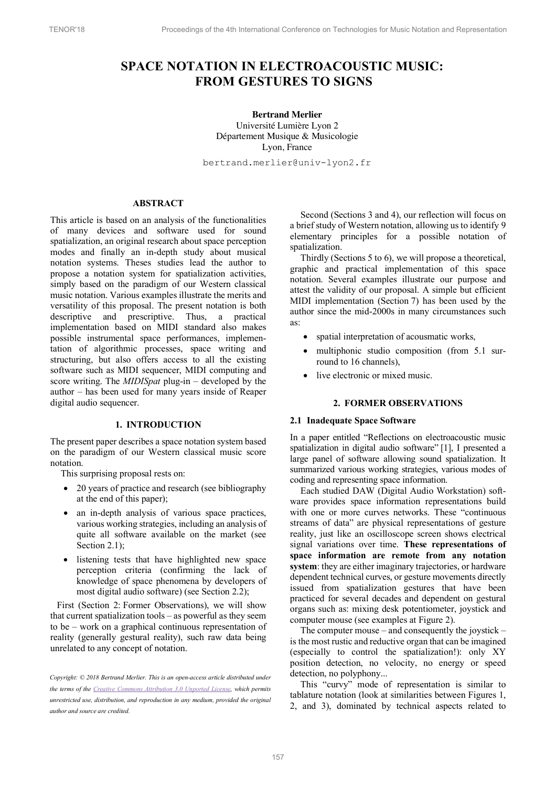# **SPACE NOTATION IN ELECTROACOUSTIC MUSIC: FROM GESTURES TO SIGNS**

**Bertrand Merlier** Université Lumière Lyon 2 Département Musique & Musicologie Lyon, France

bertrand.merlier@univ-lyon2.fr

# **ABSTRACT**

This article is based on an analysis of the functionalities of many devices and software used for sound spatialization, an original research about space perception modes and finally an in-depth study about musical notation systems. Theses studies lead the author to propose a notation system for spatialization activities, simply based on the paradigm of our Western classical music notation. Various examples illustrate the merits and versatility of this proposal. The present notation is both descriptive and prescriptive. Thus, a practical implementation based on MIDI standard also makes possible instrumental space performances, implementation of algorithmic processes, space writing and structuring, but also offers access to all the existing software such as MIDI sequencer, MIDI computing and score writing. The *MIDISpat* plug-in – developed by the author – has been used for many years inside of Reaper digital audio sequencer.

#### **1. INTRODUCTION**

The present paper describes a space notation system based on the paradigm of our Western classical music score notation.

This surprising proposal rests on:

- 20 years of practice and research (see bibliography at the end of this paper);
- an in-depth analysis of various space practices, various working strategies, including an analysis of quite all software available on the market (see Section 2.1):
- listening tests that have highlighted new space perception criteria (confirming the lack of knowledge of space phenomena by developers of most digital audio software) (see Section 2.2);

First (Section 2: Former Observations), we will show that current spatialization tools – as powerful as they seem to be – work on a graphical continuous representation of reality (generally gestural reality), such raw data being unrelated to any concept of notation.

Second (Sections 3 and 4), our reflection will focus on a brief study of Western notation, allowing us to identify 9 elementary principles for a possible notation of spatialization.

Thirdly (Sections 5 to 6), we will propose a theoretical, graphic and practical implementation of this space notation. Several examples illustrate our purpose and attest the validity of our proposal. A simple but efficient MIDI implementation (Section 7) has been used by the author since the mid-2000s in many circumstances such as:

- spatial interpretation of acousmatic works,
- multiphonic studio composition (from 5.1 surround to 16 channels),
- live electronic or mixed music.

# **2. FORMER OBSERVATIONS**

#### **2.1 Inadequate Space Software**

In a paper entitled "Reflections on electroacoustic music spatialization in digital audio software" [1], I presented a large panel of software allowing sound spatialization. It summarized various working strategies, various modes of coding and representing space information.

Each studied DAW (Digital Audio Workstation) software provides space information representations build with one or more curves networks. These "continuous streams of data" are physical representations of gesture reality, just like an oscilloscope screen shows electrical signal variations over time. **These representations of space information are remote from any notation system**: they are either imaginary trajectories, or hardware dependent technical curves, or gesture movements directly issued from spatialization gestures that have been practiced for several decades and dependent on gestural organs such as: mixing desk potentiometer, joystick and computer mouse (see examples at Figure 2).

The computer mouse – and consequently the joystick – is the most rustic and reductive organ that can be imagined (especially to control the spatialization!): only XY position detection, no velocity, no energy or speed detection, no polyphony...

This "curvy" mode of representation is similar to tablature notation (look at similarities between Figures 1, 2, and 3), dominated by technical aspects related to

*Copyright: © 2018 Bertrand Merlier. This is an open-access article distributed under the terms of the Creative Commons Attribution 3.0 Unported License, which permits unrestricted use, distribution, and reproduction in any medium, provided the original author and source are credited.*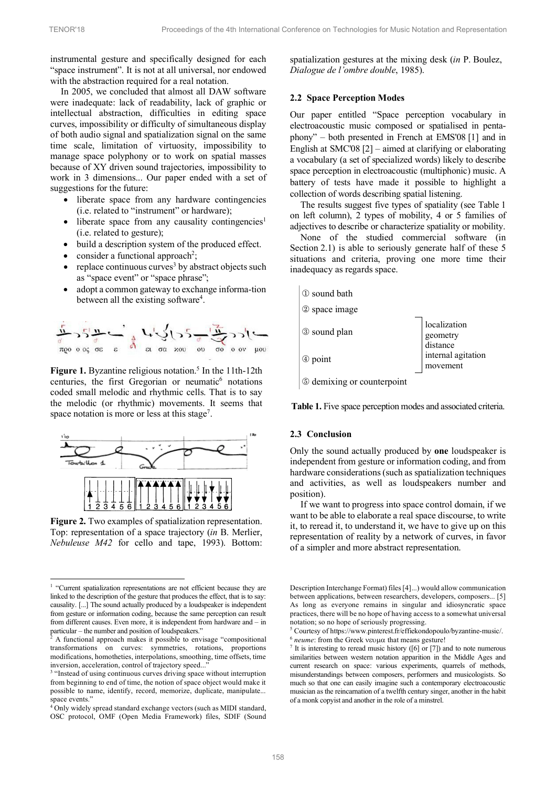instrumental gesture and specifically designed for each "space instrument". It is not at all universal, nor endowed with the abstraction required for a real notation.

In 2005, we concluded that almost all DAW software were inadequate: lack of readability, lack of graphic or intellectual abstraction, difficulties in editing space curves, impossibility or difficulty of simultaneous display of both audio signal and spatialization signal on the same time scale, limitation of virtuosity, impossibility to manage space polyphony or to work on spatial masses because of XY driven sound trajectories, impossibility to work in 3 dimensions... Our paper ended with a set of suggestions for the future:

- liberate space from any hardware contingencies (i.e. related to "instrument" or hardware);
- liberate space from any causality contingencies<sup>1</sup> (i.e. related to gesture);
- build a description system of the produced effect.
- $\bullet$  consider a functional approach<sup>2</sup>;
- replace continuous curves<sup>3</sup> by abstract objects such as "space event" or "space phrase";
- adopt a common gateway to exchange informa-tion between all the existing software<sup>4</sup>.



Figure 1. Byzantine religious notation.<sup>5</sup> In the 11th-12th centuries, the first Gregorian or neumatic<sup>6</sup> notations coded small melodic and rhythmic cells. That is to say the melodic (or rhythmic) movements. It seems that space notation is more or less at this stage<sup>7</sup>.



**Figure 2.** Two examples of spatialization representation. Top: representation of a space trajectory (*in* B. Merlier, *Nebuleuse M42* for cello and tape, 1993). Bottom:

spatialization gestures at the mixing desk (*in* P. Boulez, *Dialogue de l'ombre double*, 1985).

## **2.2 Space Perception Modes**

Our paper entitled "Space perception vocabulary in electroacoustic music composed or spatialised in pentaphony" – both presented in French at EMS'08 [1] and in English at SMC'08 [2] – aimed at clarifying or elaborating a vocabulary (a set of specialized words) likely to describe space perception in electroacoustic (multiphonic) music. A battery of tests have made it possible to highlight a collection of words describing spatial listening.

The results suggest five types of spatiality (see Table 1 on left column), 2 types of mobility, 4 or 5 families of adjectives to describe or characterize spatiality or mobility.

None of the studied commercial software (in Section 2.1) is able to seriously generate half of these 5 situations and criteria, proving one more time their inadequacy as regards space.



**Table 1.** Five space perception modes and associated criteria.

#### **2.3 Conclusion**

Only the sound actually produced by **one** loudspeaker is independent from gesture or information coding, and from hardware considerations (such as spatialization techniques and activities, as well as loudspeakers number and position).

If we want to progress into space control domain, if we want to be able to elaborate a real space discourse, to write it, to reread it, to understand it, we have to give up on this representation of reality by a network of curves, in favor of a simpler and more abstract representation.

<sup>&</sup>lt;sup>1</sup> "Current spatialization representations are not efficient because they are linked to the description of the gesture that produces the effect, that is to say: causality. [...] The sound actually produced by a loudspeaker is independent from gesture or information coding, because the same perception can result from different causes. Even more, it is independent from hardware and – in particular – the number and position of loudspeakers."  $\frac{2}{3}$  A functional approach makes it possible to envisage "compositional"

transformations on curves: symmetries, rotations, proportions modifications, homotheties, interpolations, smoothing, time offsets, time inversion, acceleration, control of trajectory speed...

<sup>&</sup>lt;sup>3</sup> "Instead of using continuous curves driving space without interruption from beginning to end of time, the notion of space object would make it possible to name, identify, record, memorize, duplicate, manipulate...<br>space events."<br><sup>4</sup> Only widely graped that  $\lambda$ 

Only widely spread standard exchange vectors (such as MIDI standard, OSC protocol, OMF (Open Media Framework) files, SDIF (Sound

Description Interchange Format) files[4]...) would allow communication between applications, between researchers, developers, composers... [5] As long as everyone remains in singular and idiosyncratic space practices, there will be no hope of having access to a somewhat universal notation; so no hope of seriously progressing.

<sup>5</sup> Courtesy of https://www.pinterest.fr/effiekondopoulo/byzantine-music/.  $6$  *neume*: from the Greek  $veu\omega$  that means gesture!

 $7$  It is interesting to reread music history ([6] or [7]) and to note numerous similarities between western notation apparition in the Middle Ages and current research on space: various experiments, quarrels of methods, misunderstandings between composers, performers and musicologists. So much so that one can easily imagine such a contemporary electroacoustic musician as the reincarnation of a twelfth century singer, another in the habit of a monk copyist and another in the role of a minstrel.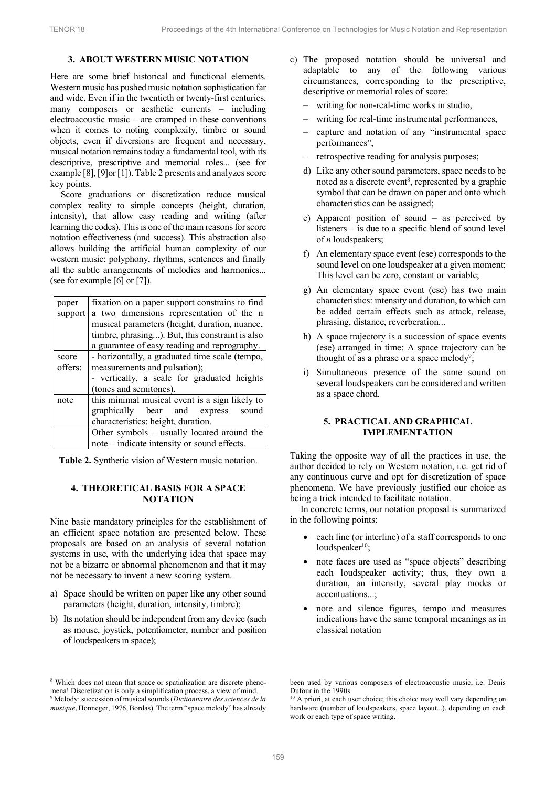# **3. ABOUT WESTERN MUSIC NOTATION**

Here are some brief historical and functional elements. Western music has pushed music notation sophistication far and wide. Even if in the twentieth or twenty-first centuries, many composers or aesthetic currents – including electroacoustic music – are cramped in these conventions when it comes to noting complexity, timbre or sound objects, even if diversions are frequent and necessary, musical notation remains today a fundamental tool, with its descriptive, prescriptive and memorial roles... (see for example [8], [9]or [1]). Table 2 presents and analyzes score key points.

Score graduations or discretization reduce musical complex reality to simple concepts (height, duration, intensity), that allow easy reading and writing (after learning the codes). This is one of the main reasons for score notation effectiveness (and success). This abstraction also allows building the artificial human complexity of our western music: polyphony, rhythms, sentences and finally all the subtle arrangements of melodies and harmonies... (see for example [6] or [7]).

| paper   | fixation on a paper support constrains to find  |  |  |
|---------|-------------------------------------------------|--|--|
| support | a two dimensions representation of the n        |  |  |
|         | musical parameters (height, duration, nuance,   |  |  |
|         | timbre, phrasing). But, this constraint is also |  |  |
|         | a guarantee of easy reading and reprography.    |  |  |
| score   | - horizontally, a graduated time scale (tempo,  |  |  |
| offers: | measurements and pulsation);                    |  |  |
|         | - vertically, a scale for graduated heights     |  |  |
|         | (tones and semitones).                          |  |  |
| note    | this minimal musical event is a sign likely to  |  |  |
|         | graphically bear and express sound              |  |  |
|         | characteristics: height, duration.              |  |  |
|         | Other symbols – usually located around the      |  |  |
|         | note – indicate intensity or sound effects.     |  |  |

**Table 2.** Synthetic vision of Western music notation.

## **4. THEORETICAL BASIS FOR A SPACE NOTATION**

Nine basic mandatory principles for the establishment of an efficient space notation are presented below. These proposals are based on an analysis of several notation systems in use, with the underlying idea that space may not be a bizarre or abnormal phenomenon and that it may not be necessary to invent a new scoring system.

- a) Space should be written on paper like any other sound parameters (height, duration, intensity, timbre);
- b) Its notation should be independent from any device (such as mouse, joystick, potentiometer, number and position of loudspeakers in space);

l

- c) The proposed notation should be universal and adaptable to any of the following various circumstances, corresponding to the prescriptive, descriptive or memorial roles of score:
	- writing for non-real-time works in studio,
	- writing for real-time instrumental performances,
	- capture and notation of any "instrumental space performances",
	- retrospective reading for analysis purposes;
	- d) Like any other sound parameters, space needs to be noted as a discrete event<sup>8</sup>, represented by a graphic symbol that can be drawn on paper and onto which characteristics can be assigned;
	- e) Apparent position of sound as perceived by listeners – is due to a specific blend of sound level of *n* loudspeakers;
	- f) An elementary space event (ese) corresponds to the sound level on one loudspeaker at a given moment; This level can be zero, constant or variable;
	- g) An elementary space event (ese) has two main characteristics: intensity and duration, to which can be added certain effects such as attack, release, phrasing, distance, reverberation...
	- h) A space trajectory is a succession of space events (ese) arranged in time; A space trajectory can be thought of as a phrase or a space melody<sup>9</sup>;
	- i) Simultaneous presence of the same sound on several loudspeakers can be considered and written as a space chord.

## **5. PRACTICAL AND GRAPHICAL IMPLEMENTATION**

Taking the opposite way of all the practices in use, the author decided to rely on Western notation, i.e. get rid of any continuous curve and opt for discretization of space phenomena. We have previously justified our choice as being a trick intended to facilitate notation.

In concrete terms, our notation proposal is summarized in the following points:

- each line (or interline) of a staff corresponds to one loudspeaker $10$ ;
- note faces are used as "space objects" describing each loudspeaker activity; thus, they own a duration, an intensity, several play modes or accentuations...;
- note and silence figures, tempo and measures indications have the same temporal meanings as in classical notation

<sup>&</sup>lt;sup>8</sup> Which does not mean that space or spatialization are discrete phenomena! Discretization is only a simplification process, a view of mind. <sup>9</sup> Melody: succession of musical sounds (*Dictionnaire des sciences de la musique*, Honneger, 1976, Bordas). The term "space melody" has already

been used by various composers of electroacoustic music, i.e. Denis Dufour in the 1990s.

<sup>&</sup>lt;sup>10</sup> A priori, at each user choice; this choice may well vary depending on hardware (number of loudspeakers, space layout...), depending on each work or each type of space writing.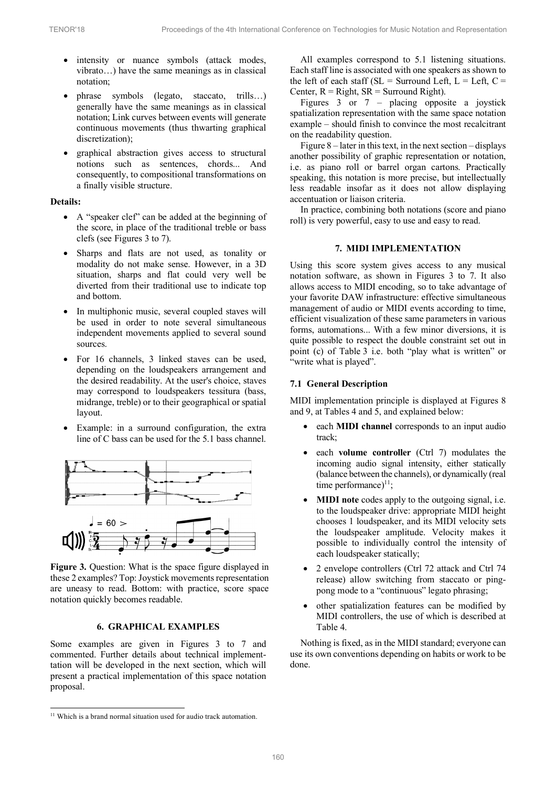- intensity or nuance symbols (attack modes, vibrato…) have the same meanings as in classical notation;
- phrase symbols (legato, staccato, trills…) generally have the same meanings as in classical notation; Link curves between events will generate continuous movements (thus thwarting graphical discretization);
- graphical abstraction gives access to structural notions such as sentences, chords... And consequently, to compositional transformations on a finally visible structure.

## **Details:**

- A "speaker clef" can be added at the beginning of the score, in place of the traditional treble or bass clefs (see Figures 3 to 7).
- Sharps and flats are not used, as tonality or modality do not make sense. However, in a 3D situation, sharps and flat could very well be diverted from their traditional use to indicate top and bottom.
- In multiphonic music, several coupled staves will be used in order to note several simultaneous independent movements applied to several sound sources.
- For 16 channels, 3 linked staves can be used, depending on the loudspeakers arrangement and the desired readability. At the user's choice, staves may correspond to loudspeakers tessitura (bass, midrange, treble) or to their geographical or spatial layout.
- Example: in a surround configuration, the extra line of C bass can be used for the 5.1 bass channel.



**Figure 3.** Question: What is the space figure displayed in these 2 examples? Top: Joystick movements representation are uneasy to read. Bottom: with practice, score space notation quickly becomes readable.

#### **6. GRAPHICAL EXAMPLES**

Some examples are given in Figures 3 to 7 and commented. Further details about technical implementtation will be developed in the next section, which will present a practical implementation of this space notation proposal.

l

All examples correspond to 5.1 listening situations. Each staff line is associated with one speakers as shown to the left of each staff ( $SL =$  Surround Left,  $L =$  Left,  $C =$ Center,  $R = Right$ ,  $SR = S$ urround Right).

Figures 3 or 7 – placing opposite a joystick spatialization representation with the same space notation example – should finish to convince the most recalcitrant on the readability question.

Figure 8 – later in this text, in the next section – displays another possibility of graphic representation or notation, i.e. as piano roll or barrel organ cartons. Practically speaking, this notation is more precise, but intellectually less readable insofar as it does not allow displaying accentuation or liaison criteria.

In practice, combining both notations (score and piano roll) is very powerful, easy to use and easy to read.

#### **7. MIDI IMPLEMENTATION**

Using this score system gives access to any musical notation software, as shown in Figures 3 to 7. It also allows access to MIDI encoding, so to take advantage of your favorite DAW infrastructure: effective simultaneous management of audio or MIDI events according to time, efficient visualization of these same parameters in various forms, automations... With a few minor diversions, it is quite possible to respect the double constraint set out in point (c) of Table 3 i.e. both "play what is written" or "write what is played".

## **7.1 General Description**

MIDI implementation principle is displayed at Figures 8 and 9, at Tables 4 and 5, and explained below:

- each **MIDI** channel corresponds to an input audio track;
- each **volume controller** (Ctrl 7) modulates the incoming audio signal intensity, either statically (balance between the channels), or dynamically (real time performance) $11$ ;
- **MIDI note** codes apply to the outgoing signal, i.e. to the loudspeaker drive: appropriate MIDI height chooses 1 loudspeaker, and its MIDI velocity sets the loudspeaker amplitude. Velocity makes it possible to individually control the intensity of each loudspeaker statically;
- 2 envelope controllers (Ctrl 72 attack and Ctrl 74 release) allow switching from staccato or pingpong mode to a "continuous" legato phrasing;
- other spatialization features can be modified by MIDI controllers, the use of which is described at Table 4.

Nothing is fixed, as in the MIDI standard; everyone can use its own conventions depending on habits or work to be done.

<sup>&</sup>lt;sup>11</sup> Which is a brand normal situation used for audio track automation.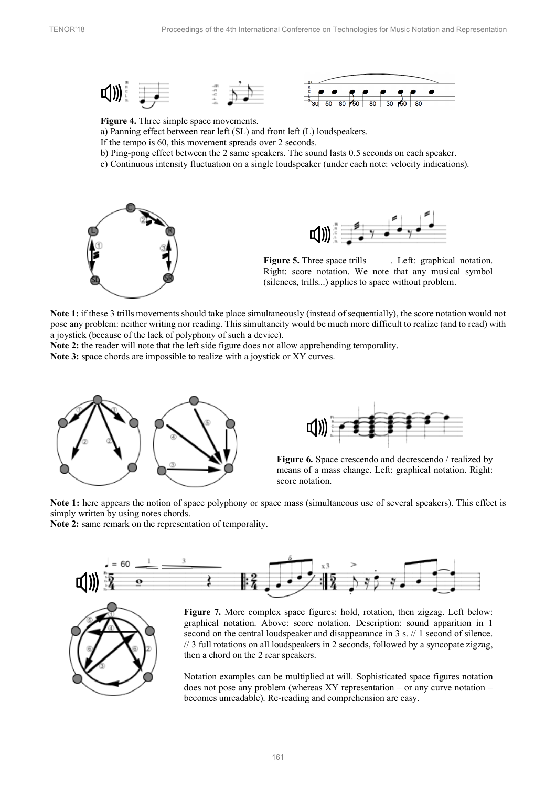



**Figure 4.** Three simple space movements.

a) Panning effect between rear left (SL) and front left (L) loudspeakers.

- If the tempo is 60, this movement spreads over 2 seconds.
- b) Ping-pong effect between the 2 same speakers. The sound lasts 0.5 seconds on each speaker.
- c) Continuous intensity fluctuation on a single loudspeaker (under each note: velocity indications).





**Figure 5.** Three space trills . Left: graphical notation. Right: score notation. We note that any musical symbol (silences, trills...) applies to space without problem.

**Note 1:** if these 3 trills movements should take place simultaneously (instead of sequentially), the score notation would not pose any problem: neither writing nor reading. This simultaneity would be much more difficult to realize (and to read) with a joystick (because of the lack of polyphony of such a device).

**Note 2:** the reader will note that the left side figure does not allow apprehending temporality.

**Note 3:** space chords are impossible to realize with a joystick or XY curves.





**Figure 6.** Space crescendo and decrescendo / realized by means of a mass change. Left: graphical notation. Right: score notation.

**Note 1:** here appears the notion of space polyphony or space mass (simultaneous use of several speakers). This effect is simply written by using notes chords.

**Note 2:** same remark on the representation of temporality.





Figure 7. More complex space figures: hold, rotation, then zigzag. Left below: graphical notation. Above: score notation. Description: sound apparition in 1 second on the central loudspeaker and disappearance in 3 s.  $// 1$  second of silence. // 3 full rotations on all loudspeakers in 2 seconds, followed by a syncopate zigzag, then a chord on the 2 rear speakers.

Notation examples can be multiplied at will. Sophisticated space figures notation does not pose any problem (whereas XY representation – or any curve notation – becomes unreadable). Re-reading and comprehension are easy.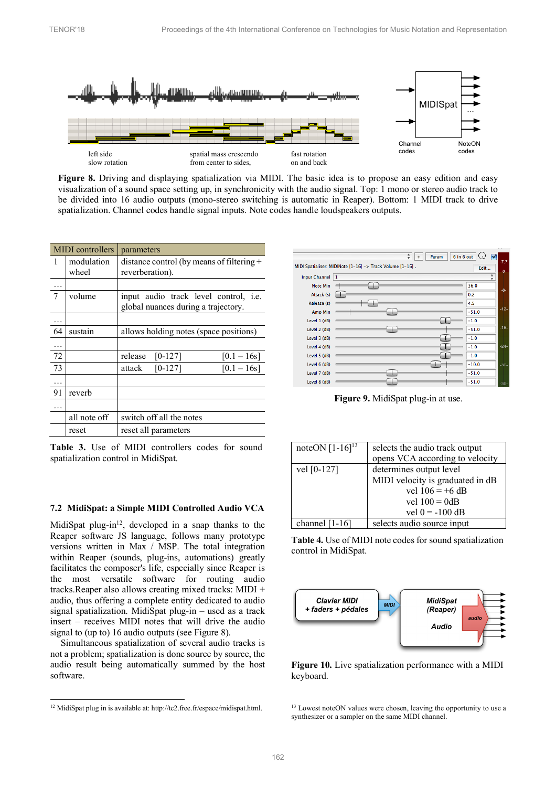

**Figure 8.** Driving and displaying spatialization via MIDI. The basic idea is to propose an easy edition and easy visualization of a sound space setting up, in synchronicity with the audio signal. Top: 1 mono or stereo audio track to be divided into 16 audio outputs (mono-stereo switching is automatic in Reaper). Bottom: 1 MIDI track to drive spatialization. Channel codes handle signal inputs. Note codes handle loudspeakers outputs.

| <b>MIDI</b> controllers |                     | parameters                                                                          |
|-------------------------|---------------------|-------------------------------------------------------------------------------------|
| 1                       | modulation<br>wheel | distance control (by means of filtering +<br>reverberation).                        |
|                         |                     |                                                                                     |
| 7                       | volume              | input audio track level control, <i>i.e.</i><br>global nuances during a trajectory. |
|                         |                     |                                                                                     |
| 64                      | sustain             | allows holding notes (space positions)                                              |
| .                       |                     |                                                                                     |
| 72                      |                     | release<br>$[0-127]$<br>$[0.1 - 16s]$                                               |
| 73                      |                     | $[0-127]$<br>$[0.1 - 16s]$<br>attack                                                |
|                         |                     |                                                                                     |
| 91                      | reverb              |                                                                                     |
|                         |                     |                                                                                     |
|                         | all note off        | switch off all the notes                                                            |
|                         | reset               | reset all parameters                                                                |

Table 3. Use of MIDI controllers codes for sound spatialization control in MidiSpat.

#### **7.2 MidiSpat: a Simple MIDI Controlled Audio VCA**

MidiSpat plug-in $12$ , developed in a snap thanks to the Reaper software JS language, follows many prototype versions written in Max / MSP. The total integration within Reaper (sounds, plug-ins, automations) greatly facilitates the composer's life, especially since Reaper is the most versatile software for routing audio tracks.Reaper also allows creating mixed tracks: MIDI + audio, thus offering a complete entity dedicated to audio signal spatialization. MidiSpat plug-in – used as a track insert – receives MIDI notes that will drive the audio signal to (up to) 16 audio outputs (see Figure 8).

Simultaneous spatialization of several audio tracks is not a problem; spatialization is done source by source, the audio result being automatically summed by the host software.

l

|                 | $\frac{1}{\pi}$<br>6 in 6 out<br>Param                    | ⊽       |        |
|-----------------|-----------------------------------------------------------|---------|--------|
|                 | MIDI Spatialiser: MIDINote [1-16] -> Track Volume [1-16]. | Edit    | $-7.7$ |
| Input Channel 1 |                                                           | ٠<br>v  | $-0-$  |
| <b>Note Min</b> |                                                           | 36.0    |        |
| Attack (s)      |                                                           | 0.2     | -6-    |
| Release (s)     |                                                           | 4.5     |        |
| Amp Min         |                                                           | $-51.0$ | $-12-$ |
| Level 1 (dB)    |                                                           | $-1.0$  |        |
| Level 2 (dB)    |                                                           | $-51.0$ | $-18-$ |
| Level 3 (dB)    |                                                           | $-1.0$  |        |
| Level 4 (dB)    |                                                           | $-1.0$  | $-24-$ |
| Level 5 (dB)    |                                                           | $-1.0$  |        |
| Level 6 (dB)    |                                                           | $-10.0$ | $-30-$ |
| Level 7 (dB)    |                                                           | $-51.0$ |        |
| Level 8 (dB)    |                                                           | $-51.0$ | $-36-$ |
|                 |                                                           |         |        |

**Figure 9.** MidiSpat plug-in at use.

| noteON $[1-16]^{13}$ | selects the audio track output<br>opens VCA according to velocity |
|----------------------|-------------------------------------------------------------------|
| vel [0-127]          | determines output level                                           |
|                      | MIDI velocity is graduated in dB                                  |
|                      | vel $106 = +6$ dB                                                 |
|                      | vel $100 = 0dB$                                                   |
|                      | vel $0 = -100$ dB                                                 |
| channel $[1-16]$     | selects audio source input                                        |

**Table 4.** Use of MIDI note codes for sound spatialization control in MidiSpat.



**Figure 10.** Live spatialization performance with a MIDI keyboard.

 $12$  MidiSpat plug in is available at: http://tc2.free.fr/espace/midispat.html.

<sup>&</sup>lt;sup>13</sup> Lowest noteON values were chosen, leaving the opportunity to use a synthesizer or a sampler on the same MIDI channel.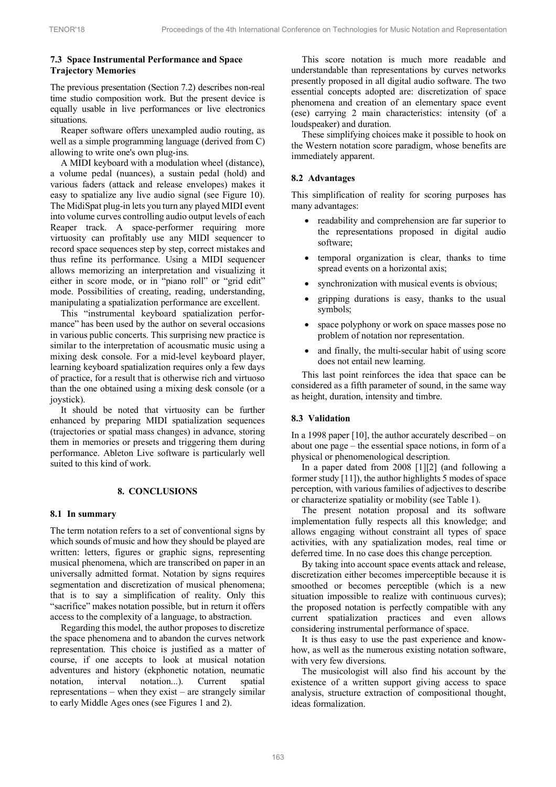# **7.3 Space Instrumental Performance and Space Trajectory Memories**

The previous presentation (Section 7.2) describes non-real time studio composition work. But the present device is equally usable in live performances or live electronics situations.

Reaper software offers unexampled audio routing, as well as a simple programming language (derived from C) allowing to write one's own plug-ins.

A MIDI keyboard with a modulation wheel (distance), a volume pedal (nuances), a sustain pedal (hold) and various faders (attack and release envelopes) makes it easy to spatialize any live audio signal (see Figure 10). The MidiSpat plug-in lets you turn any played MIDI event into volume curves controlling audio output levels of each Reaper track. A space-performer requiring more virtuosity can profitably use any MIDI sequencer to record space sequences step by step, correct mistakes and thus refine its performance. Using a MIDI sequencer allows memorizing an interpretation and visualizing it either in score mode, or in "piano roll" or "grid edit" mode. Possibilities of creating, reading, understanding, manipulating a spatialization performance are excellent.

This "instrumental keyboard spatialization performance" has been used by the author on several occasions in various public concerts. This surprising new practice is similar to the interpretation of acousmatic music using a mixing desk console. For a mid-level keyboard player, learning keyboard spatialization requires only a few days of practice, for a result that is otherwise rich and virtuoso than the one obtained using a mixing desk console (or a joystick).

It should be noted that virtuosity can be further enhanced by preparing MIDI spatialization sequences (trajectories or spatial mass changes) in advance, storing them in memories or presets and triggering them during performance. Ableton Live software is particularly well suited to this kind of work.

## **8. CONCLUSIONS**

#### **8.1 In summary**

The term notation refers to a set of conventional signs by which sounds of music and how they should be played are written: letters, figures or graphic signs, representing musical phenomena, which are transcribed on paper in an universally admitted format. Notation by signs requires segmentation and discretization of musical phenomena; that is to say a simplification of reality. Only this "sacrifice" makes notation possible, but in return it offers access to the complexity of a language, to abstraction.

Regarding this model, the author proposes to discretize the space phenomena and to abandon the curves network representation. This choice is justified as a matter of course, if one accepts to look at musical notation adventures and history (ekphonetic notation, neumatic notation, interval notation...). Current spatial representations – when they exist – are strangely similar to early Middle Ages ones (see Figures 1 and 2).

This score notation is much more readable and understandable than representations by curves networks presently proposed in all digital audio software. The two essential concepts adopted are: discretization of space phenomena and creation of an elementary space event (ese) carrying 2 main characteristics: intensity (of a loudspeaker) and duration.

These simplifying choices make it possible to hook on the Western notation score paradigm, whose benefits are immediately apparent.

## **8.2 Advantages**

This simplification of reality for scoring purposes has many advantages:

- readability and comprehension are far superior to the representations proposed in digital audio software;
- temporal organization is clear, thanks to time spread events on a horizontal axis;
- synchronization with musical events is obvious:
- gripping durations is easy, thanks to the usual symbols;
- space polyphony or work on space masses pose no problem of notation nor representation.
- and finally, the multi-secular habit of using score does not entail new learning.

This last point reinforces the idea that space can be considered as a fifth parameter of sound, in the same way as height, duration, intensity and timbre.

## **8.3 Validation**

In a 1998 paper [10], the author accurately described – on about one page – the essential space notions, in form of a physical or phenomenological description.

In a paper dated from 2008 [1][2] (and following a former study [11]), the author highlights 5 modes of space perception, with various families of adjectives to describe or characterize spatiality or mobility (see Table 1).

The present notation proposal and its software implementation fully respects all this knowledge; and allows engaging without constraint all types of space activities, with any spatialization modes, real time or deferred time. In no case does this change perception.

By taking into account space events attack and release, discretization either becomes imperceptible because it is smoothed or becomes perceptible (which is a new situation impossible to realize with continuous curves); the proposed notation is perfectly compatible with any current spatialization practices and even allows considering instrumental performance of space.

It is thus easy to use the past experience and knowhow, as well as the numerous existing notation software, with very few diversions.

The musicologist will also find his account by the existence of a written support giving access to space analysis, structure extraction of compositional thought, ideas formalization.